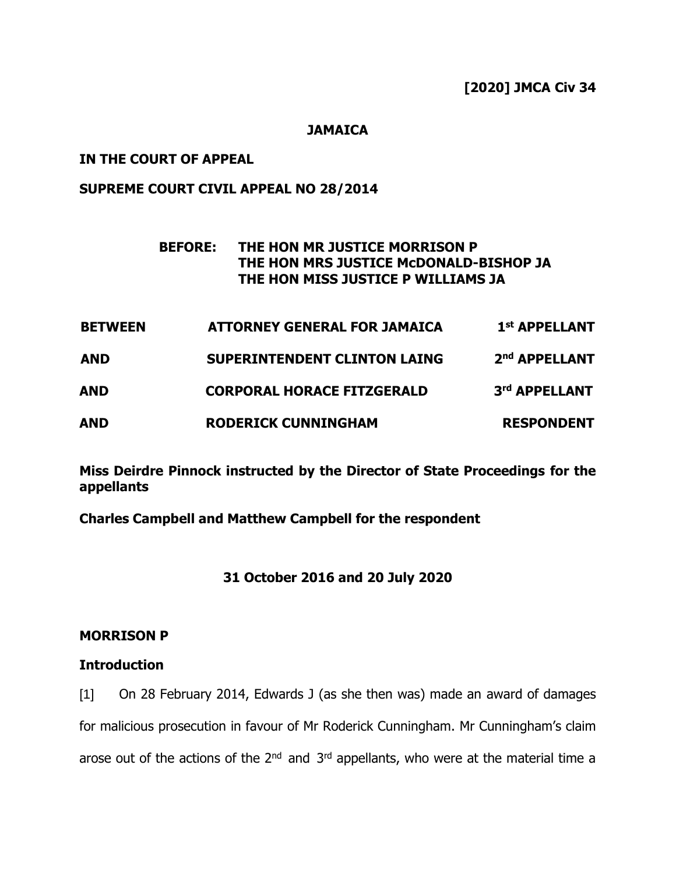## **JAMAICA**

## **IN THE COURT OF APPEAL**

## **SUPREME COURT CIVIL APPEAL NO 28/2014**

## **BEFORE: THE HON MR JUSTICE MORRISON P THE HON MRS JUSTICE McDONALD-BISHOP JA THE HON MISS JUSTICE P WILLIAMS JA**

| <b>BETWEEN</b> | <b>ATTORNEY GENERAL FOR JAMAICA</b> | 1 <sup>st</sup> APPELLANT |
|----------------|-------------------------------------|---------------------------|
| <b>AND</b>     | <b>SUPERINTENDENT CLINTON LAING</b> | 2nd APPELLANT             |
| AND            | <b>CORPORAL HORACE FITZGERALD</b>   | 3rd APPELLANT             |
| <b>AND</b>     | <b>RODERICK CUNNINGHAM</b>          | <b>RESPONDENT</b>         |

**Miss Deirdre Pinnock instructed by the Director of State Proceedings for the appellants**

**Charles Campbell and Matthew Campbell for the respondent** 

## **31 October 2016 and 20 July 2020**

### **MORRISON P**

### **Introduction**

[1] On 28 February 2014, Edwards J (as she then was) made an award of damages for malicious prosecution in favour of Mr Roderick Cunningham. Mr Cunningham's claim arose out of the actions of the  $2^{nd}$  and  $3^{rd}$  appellants, who were at the material time a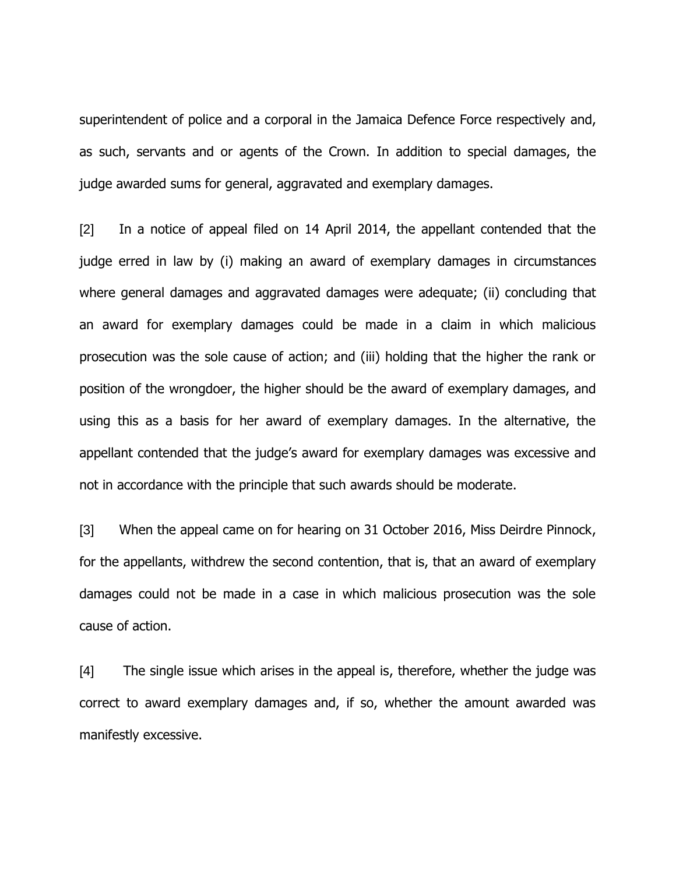superintendent of police and a corporal in the Jamaica Defence Force respectively and, as such, servants and or agents of the Crown. In addition to special damages, the judge awarded sums for general, aggravated and exemplary damages.

[2] In a notice of appeal filed on 14 April 2014, the appellant contended that the judge erred in law by (i) making an award of exemplary damages in circumstances where general damages and aggravated damages were adequate; (ii) concluding that an award for exemplary damages could be made in a claim in which malicious prosecution was the sole cause of action; and (iii) holding that the higher the rank or position of the wrongdoer, the higher should be the award of exemplary damages, and using this as a basis for her award of exemplary damages. In the alternative, the appellant contended that the judge's award for exemplary damages was excessive and not in accordance with the principle that such awards should be moderate.

[3] When the appeal came on for hearing on 31 October 2016, Miss Deirdre Pinnock, for the appellants, withdrew the second contention, that is, that an award of exemplary damages could not be made in a case in which malicious prosecution was the sole cause of action.

[4] The single issue which arises in the appeal is, therefore, whether the judge was correct to award exemplary damages and, if so, whether the amount awarded was manifestly excessive.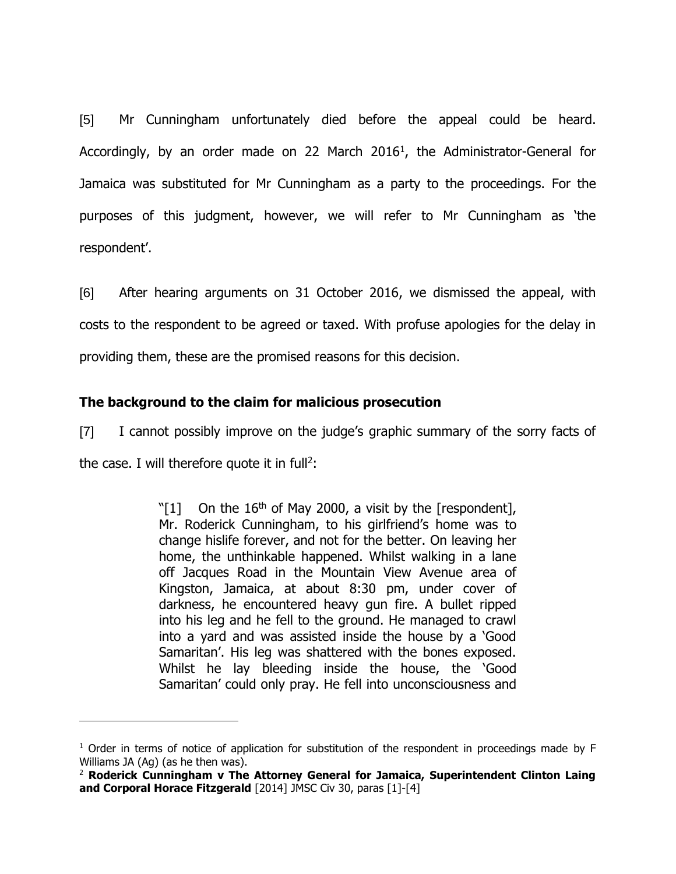[5] Mr Cunningham unfortunately died before the appeal could be heard. Accordingly, by an order made on 22 March 2016<sup>1</sup>, the Administrator-General for Jamaica was substituted for Mr Cunningham as a party to the proceedings. For the purposes of this judgment, however, we will refer to Mr Cunningham as 'the respondent'.

[6] After hearing arguments on 31 October 2016, we dismissed the appeal, with costs to the respondent to be agreed or taxed. With profuse apologies for the delay in providing them, these are the promised reasons for this decision.

# **The background to the claim for malicious prosecution**

 $\overline{a}$ 

[7] I cannot possibly improve on the judge's graphic summary of the sorry facts of the case. I will therefore quote it in full<sup>2</sup>:

> "[1] On the  $16<sup>th</sup>$  of May 2000, a visit by the [respondent], Mr. Roderick Cunningham, to his girlfriend's home was to change hislife forever, and not for the better. On leaving her home, the unthinkable happened. Whilst walking in a lane off Jacques Road in the Mountain View Avenue area of Kingston, Jamaica, at about 8:30 pm, under cover of darkness, he encountered heavy gun fire. A bullet ripped into his leg and he fell to the ground. He managed to crawl into a yard and was assisted inside the house by a 'Good Samaritan'. His leg was shattered with the bones exposed. Whilst he lay bleeding inside the house, the 'Good Samaritan' could only pray. He fell into unconsciousness and

 $<sup>1</sup>$  Order in terms of notice of application for substitution of the respondent in proceedings made by F</sup> Williams JA (Ag) (as he then was).

<sup>2</sup> **Roderick Cunningham v The Attorney General for Jamaica, Superintendent Clinton Laing and Corporal Horace Fitzgerald** [2014] JMSC Civ 30, paras [1]-[4]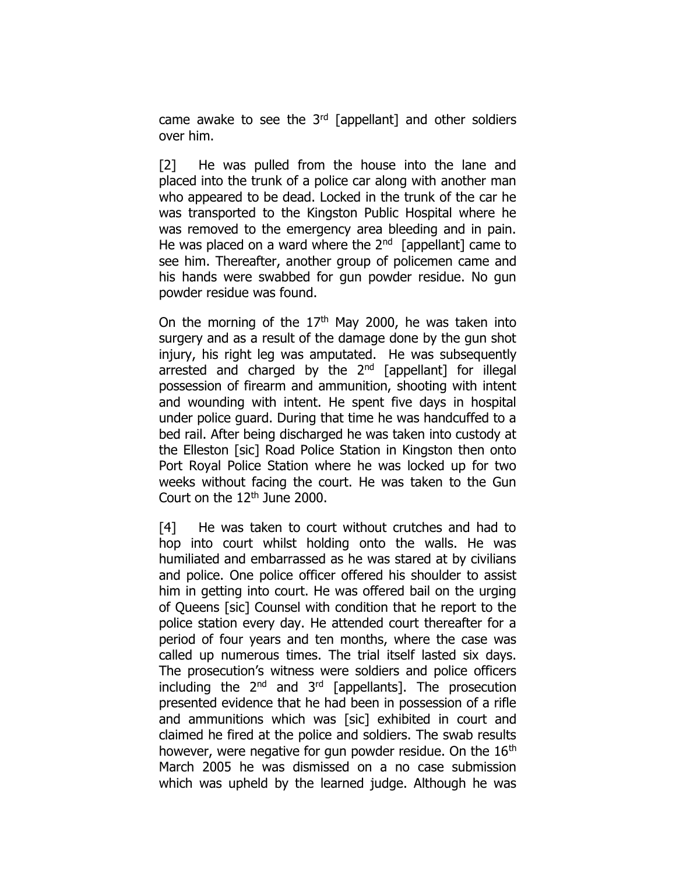came awake to see the  $3<sup>rd</sup>$  [appellant] and other soldiers over him.

[2] He was pulled from the house into the lane and placed into the trunk of a police car along with another man who appeared to be dead. Locked in the trunk of the car he was transported to the Kingston Public Hospital where he was removed to the emergency area bleeding and in pain. He was placed on a ward where the  $2<sup>nd</sup>$  [appellant] came to see him. Thereafter, another group of policemen came and his hands were swabbed for gun powder residue. No gun powder residue was found.

On the morning of the  $17<sup>th</sup>$  May 2000, he was taken into surgery and as a result of the damage done by the gun shot injury, his right leg was amputated. He was subsequently arrested and charged by the 2<sup>nd</sup> [appellant] for illegal possession of firearm and ammunition, shooting with intent and wounding with intent. He spent five days in hospital under police guard. During that time he was handcuffed to a bed rail. After being discharged he was taken into custody at the Elleston [sic] Road Police Station in Kingston then onto Port Royal Police Station where he was locked up for two weeks without facing the court. He was taken to the Gun Court on the  $12<sup>th</sup>$  June 2000.

[4] He was taken to court without crutches and had to hop into court whilst holding onto the walls. He was humiliated and embarrassed as he was stared at by civilians and police. One police officer offered his shoulder to assist him in getting into court. He was offered bail on the urging of Queens [sic] Counsel with condition that he report to the police station every day. He attended court thereafter for a period of four years and ten months, where the case was called up numerous times. The trial itself lasted six days. The prosecution's witness were soldiers and police officers including the  $2^{nd}$  and  $3^{rd}$  [appellants]. The prosecution presented evidence that he had been in possession of a rifle and ammunitions which was [sic] exhibited in court and claimed he fired at the police and soldiers. The swab results however, were negative for gun powder residue. On the 16<sup>th</sup> March 2005 he was dismissed on a no case submission which was upheld by the learned judge. Although he was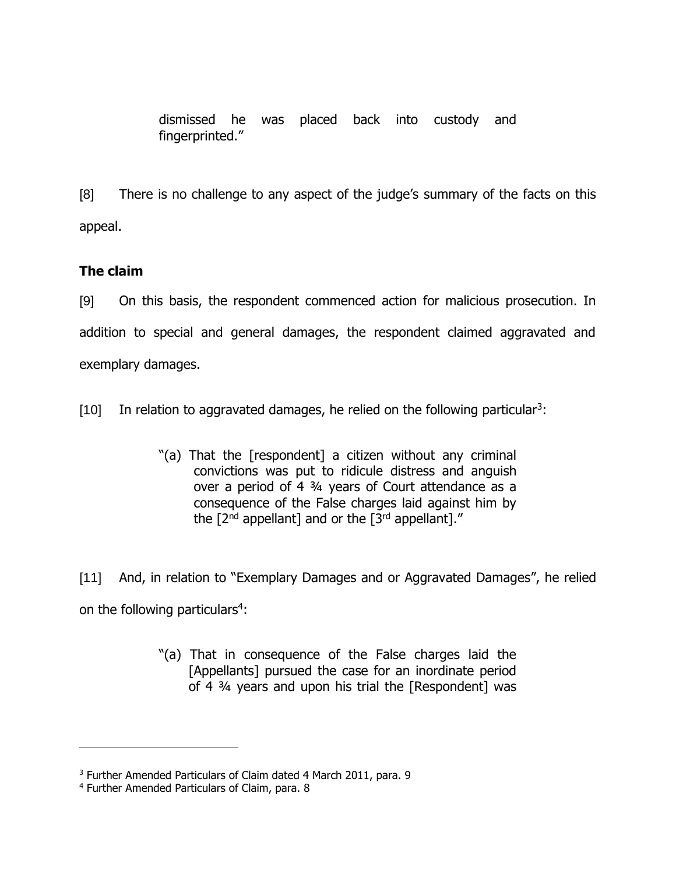dismissed he was placed back into custody and fingerprinted."

[8] There is no challenge to any aspect of the judge's summary of the facts on this appeal.

# **The claim**

[9] On this basis, the respondent commenced action for malicious prosecution. In addition to special and general damages, the respondent claimed aggravated and exemplary damages.

 $[10]$  In relation to aggravated damages, he relied on the following particular<sup>3</sup>:

"(a) That the [respondent] a citizen without any criminal convictions was put to ridicule distress and anguish over a period of 4 ¾ years of Court attendance as a consequence of the False charges laid against him by the  $[2^{nd}$  appellant] and or the  $[3^{rd}$  appellant]."

[11] And, in relation to "Exemplary Damages and or Aggravated Damages", he relied on the following particulars<sup>4</sup>:

> "(a) That in consequence of the False charges laid the [Appellants] pursued the case for an inordinate period of 4 ¾ years and upon his trial the [Respondent] was

<sup>&</sup>lt;sup>3</sup> Further Amended Particulars of Claim dated 4 March 2011, para. 9

<sup>4</sup> Further Amended Particulars of Claim, para. 8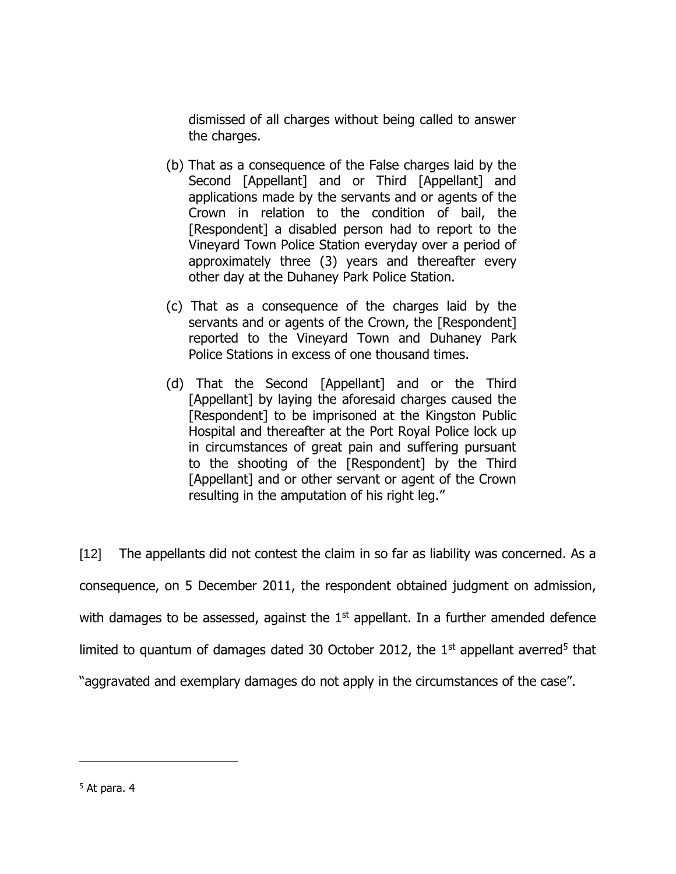dismissed of all charges without being called to answer the charges.

- (b) That as a consequence of the False charges laid by the Second [Appellant] and or Third [Appellant] and applications made by the servants and or agents of the Crown in relation to the condition of bail, the [Respondent] a disabled person had to report to the Vineyard Town Police Station everyday over a period of approximately three (3) years and thereafter every other day at the Duhaney Park Police Station.
- (c) That as a consequence of the charges laid by the servants and or agents of the Crown, the [Respondent] reported to the Vineyard Town and Duhaney Park Police Stations in excess of one thousand times.
- (d) That the Second [Appellant] and or the Third [Appellant] by laying the aforesaid charges caused the [Respondent] to be imprisoned at the Kingston Public Hospital and thereafter at the Port Royal Police lock up in circumstances of great pain and suffering pursuant to the shooting of the [Respondent] by the Third [Appellant] and or other servant or agent of the Crown resulting in the amputation of his right leg."

[12] The appellants did not contest the claim in so far as liability was concerned. As a consequence, on 5 December 2011, the respondent obtained judgment on admission, with damages to be assessed, against the  $1<sup>st</sup>$  appellant. In a further amended defence limited to quantum of damages dated 30 October 2012, the  $1<sup>st</sup>$  appellant averred<sup>5</sup> that "aggravated and exemplary damages do not apply in the circumstances of the case".

 $<sup>5</sup>$  At para. 4</sup>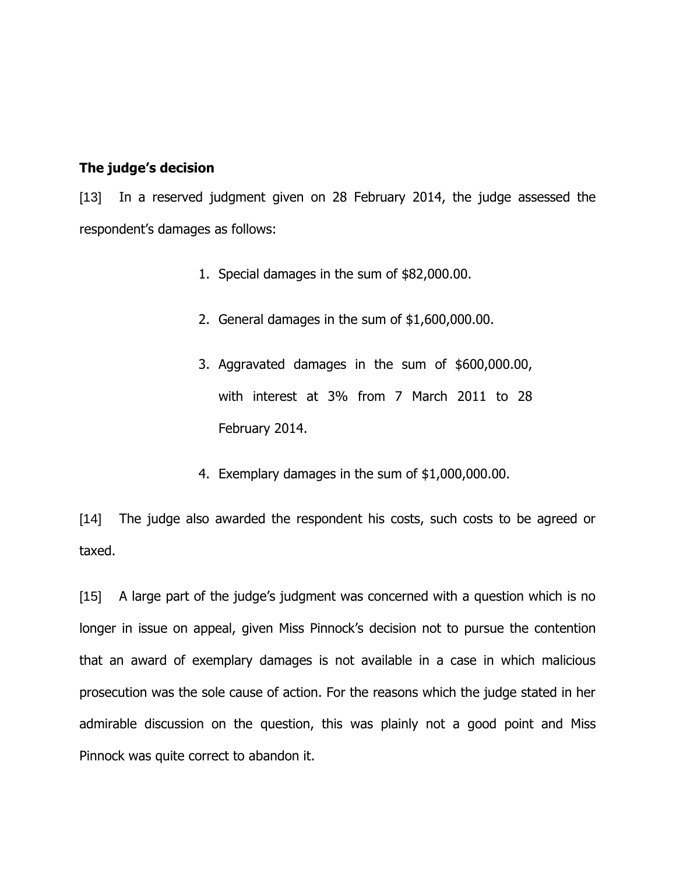### **The judge's decision**

[13] In a reserved judgment given on 28 February 2014, the judge assessed the respondent's damages as follows:

- 1. Special damages in the sum of \$82,000.00.
- 2. General damages in the sum of \$1,600,000.00.
- 3. Aggravated damages in the sum of \$600,000.00, with interest at 3% from 7 March 2011 to 28 February 2014.
- 4. Exemplary damages in the sum of \$1,000,000.00.

[14] The judge also awarded the respondent his costs, such costs to be agreed or taxed.

[15] A large part of the judge's judgment was concerned with a question which is no longer in issue on appeal, given Miss Pinnock's decision not to pursue the contention that an award of exemplary damages is not available in a case in which malicious prosecution was the sole cause of action. For the reasons which the judge stated in her admirable discussion on the question, this was plainly not a good point and Miss Pinnock was quite correct to abandon it.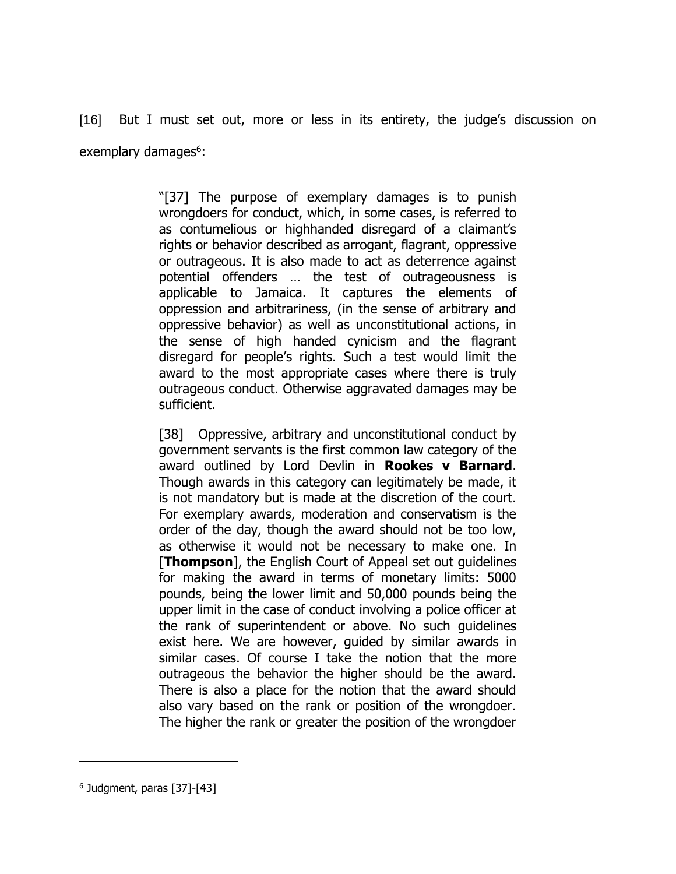[16] But I must set out, more or less in its entirety, the judge's discussion on exemplary damages<sup>6</sup>:

> "[37] The purpose of exemplary damages is to punish wrongdoers for conduct, which, in some cases, is referred to as contumelious or highhanded disregard of a claimant's rights or behavior described as arrogant, flagrant, oppressive or outrageous. It is also made to act as deterrence against potential offenders … the test of outrageousness is applicable to Jamaica. It captures the elements of oppression and arbitrariness, (in the sense of arbitrary and oppressive behavior) as well as unconstitutional actions, in the sense of high handed cynicism and the flagrant disregard for people's rights. Such a test would limit the award to the most appropriate cases where there is truly outrageous conduct. Otherwise aggravated damages may be sufficient.

> [38] Oppressive, arbitrary and unconstitutional conduct by government servants is the first common law category of the award outlined by Lord Devlin in **Rookes v Barnard**. Though awards in this category can legitimately be made, it is not mandatory but is made at the discretion of the court. For exemplary awards, moderation and conservatism is the order of the day, though the award should not be too low, as otherwise it would not be necessary to make one. In [**Thompson**], the English Court of Appeal set out guidelines for making the award in terms of monetary limits: 5000 pounds, being the lower limit and 50,000 pounds being the upper limit in the case of conduct involving a police officer at the rank of superintendent or above. No such guidelines exist here. We are however, guided by similar awards in similar cases. Of course I take the notion that the more outrageous the behavior the higher should be the award. There is also a place for the notion that the award should also vary based on the rank or position of the wrongdoer. The higher the rank or greater the position of the wrongdoer

<sup>6</sup> Judgment, paras [37]-[43]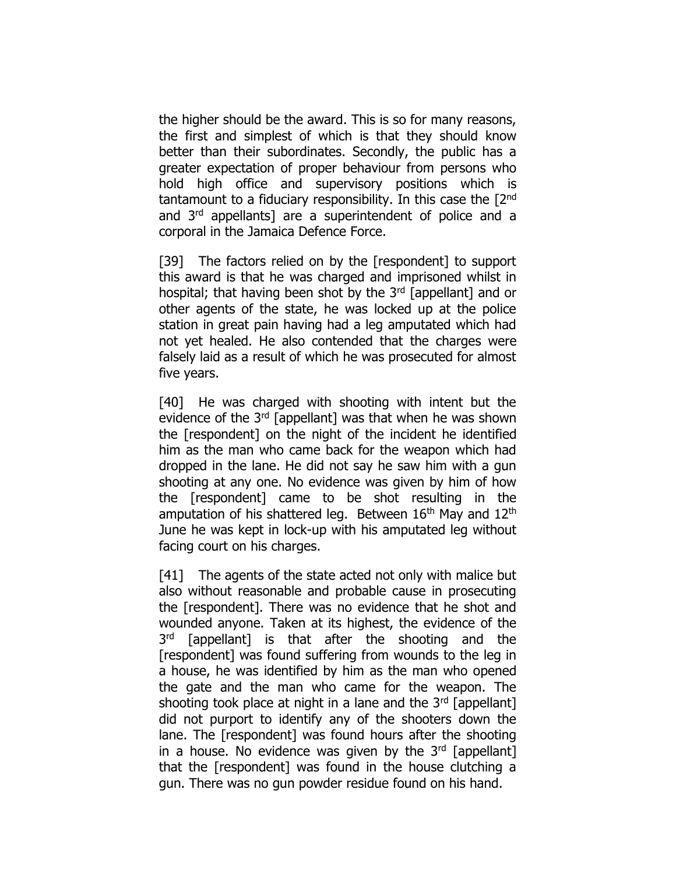the higher should be the award. This is so for many reasons, the first and simplest of which is that they should know better than their subordinates. Secondly, the public has a greater expectation of proper behaviour from persons who hold high office and supervisory positions which is tantamount to a fiduciary responsibility. In this case the [2nd and 3rd appellants] are a superintendent of police and a corporal in the Jamaica Defence Force.

[39] The factors relied on by the [respondent] to support this award is that he was charged and imprisoned whilst in hospital; that having been shot by the 3<sup>rd</sup> [appellant] and or other agents of the state, he was locked up at the police station in great pain having had a leg amputated which had not yet healed. He also contended that the charges were falsely laid as a result of which he was prosecuted for almost five years.

[40] He was charged with shooting with intent but the evidence of the 3rd [appellant] was that when he was shown the [respondent] on the night of the incident he identified him as the man who came back for the weapon which had dropped in the lane. He did not say he saw him with a gun shooting at any one. No evidence was given by him of how the [respondent] came to be shot resulting in the amputation of his shattered leg. Between  $16<sup>th</sup>$  May and  $12<sup>th</sup>$ June he was kept in lock-up with his amputated leg without facing court on his charges.

[41] The agents of the state acted not only with malice but also without reasonable and probable cause in prosecuting the [respondent]. There was no evidence that he shot and wounded anyone. Taken at its highest, the evidence of the  $3<sup>rd</sup>$ [appellant] is that after the shooting and the [respondent] was found suffering from wounds to the leg in a house, he was identified by him as the man who opened the gate and the man who came for the weapon. The shooting took place at night in a lane and the  $3<sup>rd</sup>$  [appellant] did not purport to identify any of the shooters down the lane. The [respondent] was found hours after the shooting in a house. No evidence was given by the  $3<sup>rd</sup>$  [appellant] that the [respondent] was found in the house clutching a gun. There was no gun powder residue found on his hand.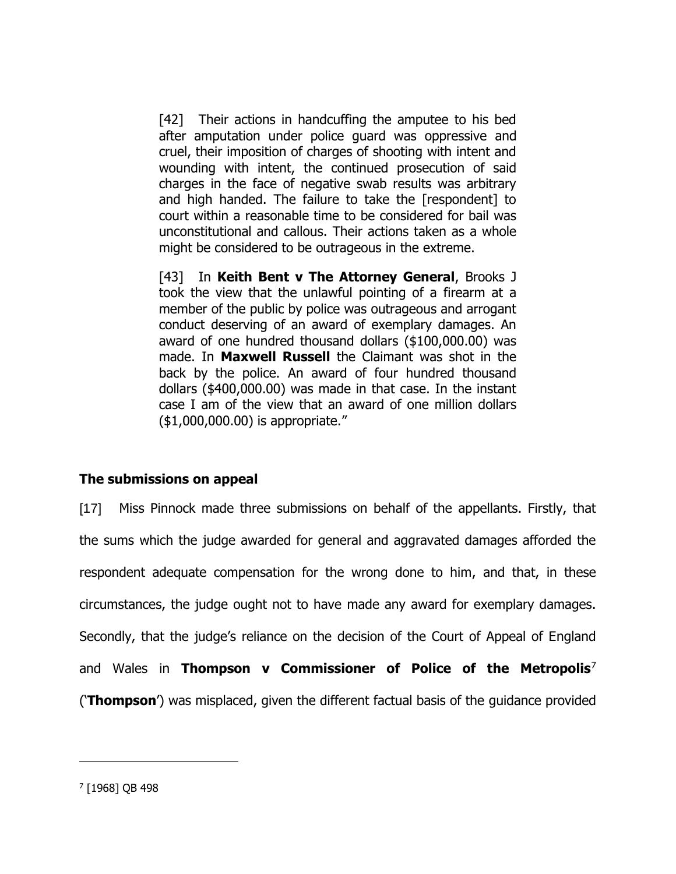[42] Their actions in handcuffing the amputee to his bed after amputation under police guard was oppressive and cruel, their imposition of charges of shooting with intent and wounding with intent, the continued prosecution of said charges in the face of negative swab results was arbitrary and high handed. The failure to take the [respondent] to court within a reasonable time to be considered for bail was unconstitutional and callous. Their actions taken as a whole might be considered to be outrageous in the extreme.

[43] In **Keith Bent v The Attorney General**, Brooks J took the view that the unlawful pointing of a firearm at a member of the public by police was outrageous and arrogant conduct deserving of an award of exemplary damages. An award of one hundred thousand dollars (\$100,000.00) was made. In **Maxwell Russell** the Claimant was shot in the back by the police. An award of four hundred thousand dollars (\$400,000.00) was made in that case. In the instant case I am of the view that an award of one million dollars (\$1,000,000.00) is appropriate."

# **The submissions on appeal**

[17] Miss Pinnock made three submissions on behalf of the appellants. Firstly, that the sums which the judge awarded for general and aggravated damages afforded the respondent adequate compensation for the wrong done to him, and that, in these circumstances, the judge ought not to have made any award for exemplary damages. Secondly, that the judge's reliance on the decision of the Court of Appeal of England and Wales in **Thompson v Commissioner of Police of the Metropolis**<sup>7</sup> ('**Thompson**') was misplaced, given the different factual basis of the guidance provided

7 [1968] QB 498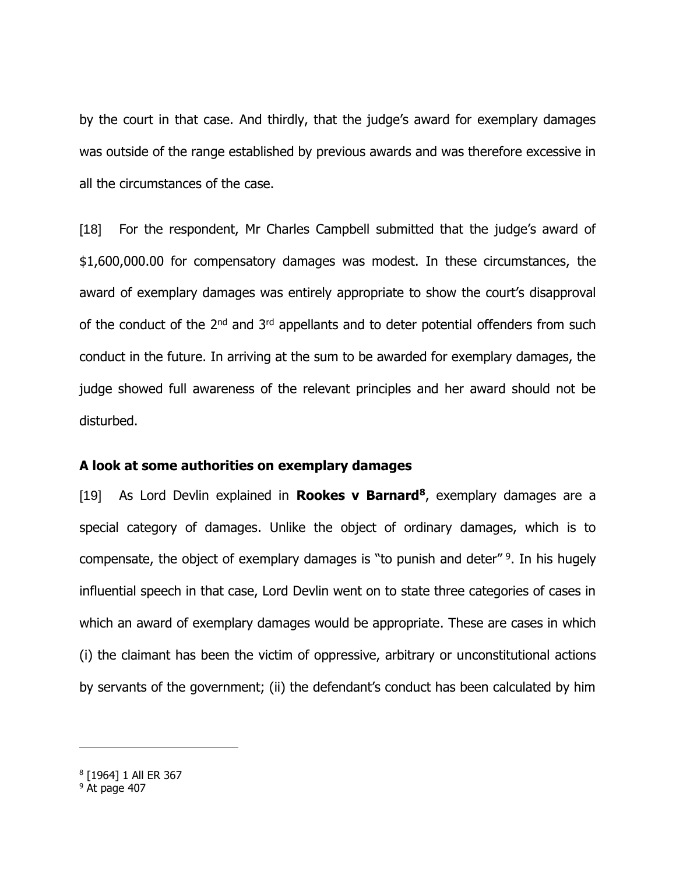by the court in that case. And thirdly, that the judge's award for exemplary damages was outside of the range established by previous awards and was therefore excessive in all the circumstances of the case.

[18] For the respondent, Mr Charles Campbell submitted that the judge's award of \$1,600,000.00 for compensatory damages was modest. In these circumstances, the award of exemplary damages was entirely appropriate to show the court's disapproval of the conduct of the  $2<sup>nd</sup>$  and  $3<sup>rd</sup>$  appellants and to deter potential offenders from such conduct in the future. In arriving at the sum to be awarded for exemplary damages, the judge showed full awareness of the relevant principles and her award should not be disturbed.

### **A look at some authorities on exemplary damages**

[19] As Lord Devlin explained in **Rookes v Barnard<sup>8</sup>** , exemplary damages are a special category of damages. Unlike the object of ordinary damages, which is to compensate, the object of exemplary damages is "to punish and deter" <sup>9</sup>. In his hugely influential speech in that case, Lord Devlin went on to state three categories of cases in which an award of exemplary damages would be appropriate. These are cases in which (i) the claimant has been the victim of oppressive, arbitrary or unconstitutional actions by servants of the government; (ii) the defendant's conduct has been calculated by him

<sup>8</sup> [1964] 1 All ER 367

 $9$  At page 407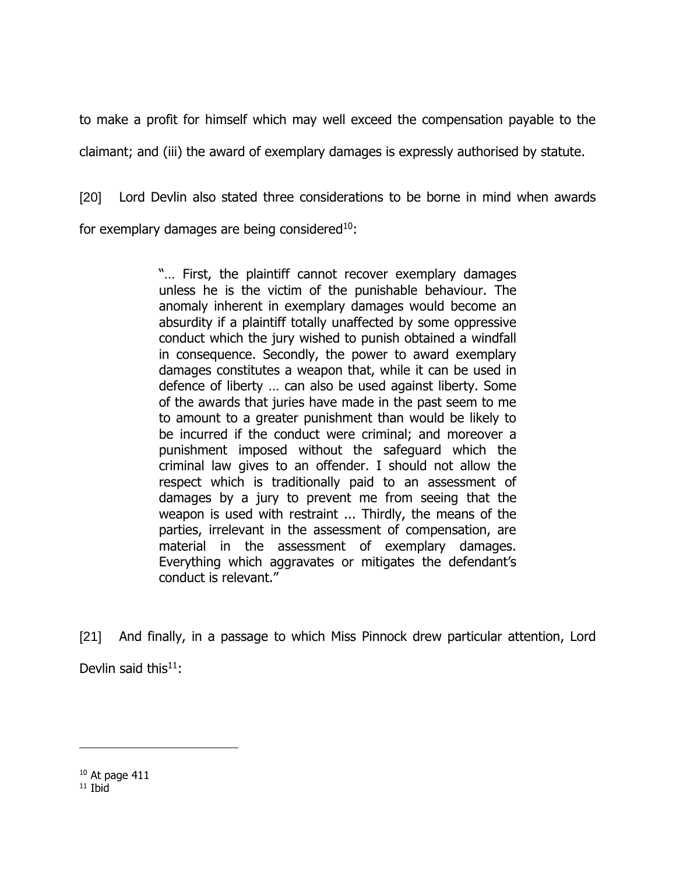to make a profit for himself which may well exceed the compensation payable to the claimant; and (iii) the award of exemplary damages is expressly authorised by statute.

[20] Lord Devlin also stated three considerations to be borne in mind when awards for exemplary damages are being considered $10$ :

> "… First, the plaintiff cannot recover exemplary damages unless he is the victim of the punishable behaviour. The anomaly inherent in exemplary damages would become an absurdity if a plaintiff totally unaffected by some oppressive conduct which the jury wished to punish obtained a windfall in consequence. Secondly, the power to award exemplary damages constitutes a weapon that, while it can be used in defence of liberty … can also be used against liberty. Some of the awards that juries have made in the past seem to me to amount to a greater punishment than would be likely to be incurred if the conduct were criminal; and moreover a punishment imposed without the safeguard which the criminal law gives to an offender. I should not allow the respect which is traditionally paid to an assessment of damages by a jury to prevent me from seeing that the weapon is used with restraint ... Thirdly, the means of the parties, irrelevant in the assessment of compensation, are material in the assessment of exemplary damages. Everything which aggravates or mitigates the defendant's conduct is relevant."

[21] And finally, in a passage to which Miss Pinnock drew particular attention, Lord Devlin said this $11$ :

 $10$  At page 411

 $11$  Thid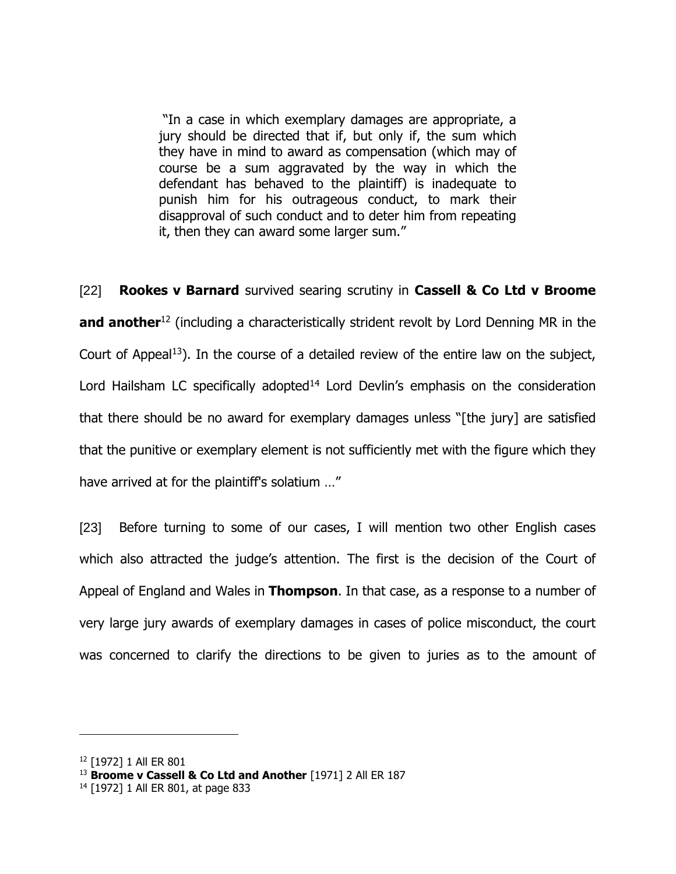"In a case in which exemplary damages are appropriate, a jury should be directed that if, but only if, the sum which they have in mind to award as compensation (which may of course be a sum aggravated by the way in which the defendant has behaved to the plaintiff) is inadequate to punish him for his outrageous conduct, to mark their disapproval of such conduct and to deter him from repeating it, then they can award some larger sum."

[22] **Rookes v Barnard** survived searing scrutiny in **Cassell & Co Ltd v Broome and another**<sup>12</sup> (including a characteristically strident revolt by Lord Denning MR in the Court of Appeal<sup>13</sup>). In the course of a detailed review of the entire law on the subject, Lord Hailsham LC specifically adopted<sup>14</sup> Lord Devlin's emphasis on the consideration that there should be no award for exemplary damages unless "[the jury] are satisfied that the punitive or exemplary element is not sufficiently met with the figure which they have arrived at for the plaintiff's solatium …"

[23] Before turning to some of our cases, I will mention two other English cases which also attracted the judge's attention. The first is the decision of the Court of Appeal of England and Wales in **Thompson**. In that case, as a response to a number of very large jury awards of exemplary damages in cases of police misconduct, the court was concerned to clarify the directions to be given to juries as to the amount of

<sup>12</sup> [1972] 1 All ER 801

<sup>13</sup> **Broome v Cassell & Co Ltd and Another** [1971] 2 All ER 187

<sup>14</sup> [1972] 1 All ER 801, at page 833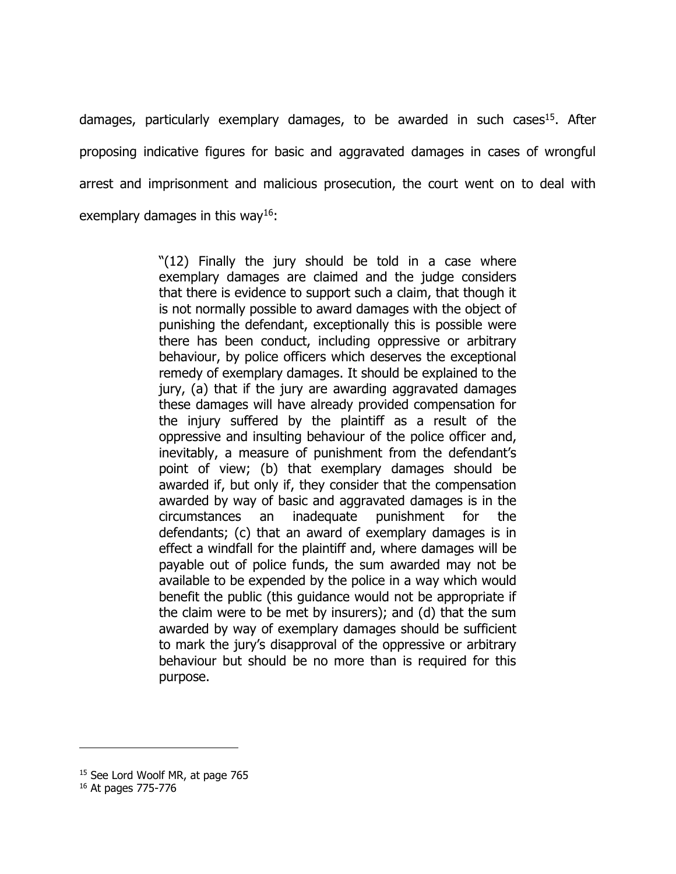damages, particularly exemplary damages, to be awarded in such cases<sup>15</sup>. After proposing indicative figures for basic and aggravated damages in cases of wrongful arrest and imprisonment and malicious prosecution, the court went on to deal with exemplary damages in this way<sup>16</sup>:

> "(12) Finally the jury should be told in a case where exemplary damages are claimed and the judge considers that there is evidence to support such a claim, that though it is not normally possible to award damages with the object of punishing the defendant, exceptionally this is possible were there has been conduct, including oppressive or arbitrary behaviour, by police officers which deserves the exceptional remedy of exemplary damages. It should be explained to the jury, (a) that if the jury are awarding aggravated damages these damages will have already provided compensation for the injury suffered by the plaintiff as a result of the oppressive and insulting behaviour of the police officer and, inevitably, a measure of punishment from the defendant's point of view; (b) that exemplary damages should be awarded if, but only if, they consider that the compensation awarded by way of basic and aggravated damages is in the circumstances an inadequate punishment for the defendants; (c) that an award of exemplary damages is in effect a windfall for the plaintiff and, where damages will be payable out of police funds, the sum awarded may not be available to be expended by the police in a way which would benefit the public (this guidance would not be appropriate if the claim were to be met by insurers); and (d) that the sum awarded by way of exemplary damages should be sufficient to mark the jury's disapproval of the oppressive or arbitrary behaviour but should be no more than is required for this purpose.

<sup>&</sup>lt;sup>15</sup> See Lord Woolf MR, at page 765

<sup>16</sup> At pages 775-776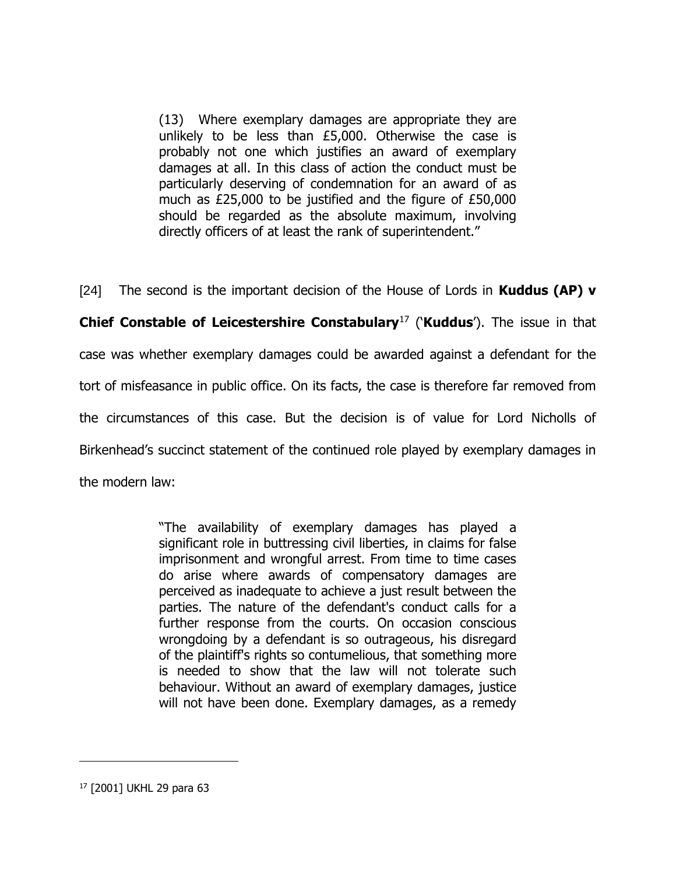(13) Where exemplary damages are appropriate they are unlikely to be less than £5,000. Otherwise the case is probably not one which justifies an award of exemplary damages at all. In this class of action the conduct must be particularly deserving of condemnation for an award of as much as £25,000 to be justified and the figure of £50,000 should be regarded as the absolute maximum, involving directly officers of at least the rank of superintendent."

[24] The second is the important decision of the House of Lords in **Kuddus (AP) v** 

**Chief Constable of Leicestershire Constabulary**<sup>17</sup> ('**Kuddus**'). The issue in that case was whether exemplary damages could be awarded against a defendant for the tort of misfeasance in public office. On its facts, the case is therefore far removed from the circumstances of this case. But the decision is of value for Lord Nicholls of Birkenhead's succinct statement of the continued role played by exemplary damages in the modern law:

> "The availability of exemplary damages has played a significant role in buttressing civil liberties, in claims for false imprisonment and wrongful arrest. From time to time cases do arise where awards of compensatory damages are perceived as inadequate to achieve a just result between the parties. The nature of the defendant's conduct calls for a further response from the courts. On occasion conscious wrongdoing by a defendant is so outrageous, his disregard of the plaintiff's rights so contumelious, that something more is needed to show that the law will not tolerate such behaviour. Without an award of exemplary damages, justice will not have been done. Exemplary damages, as a remedy

<sup>17</sup> [2001] UKHL 29 para 63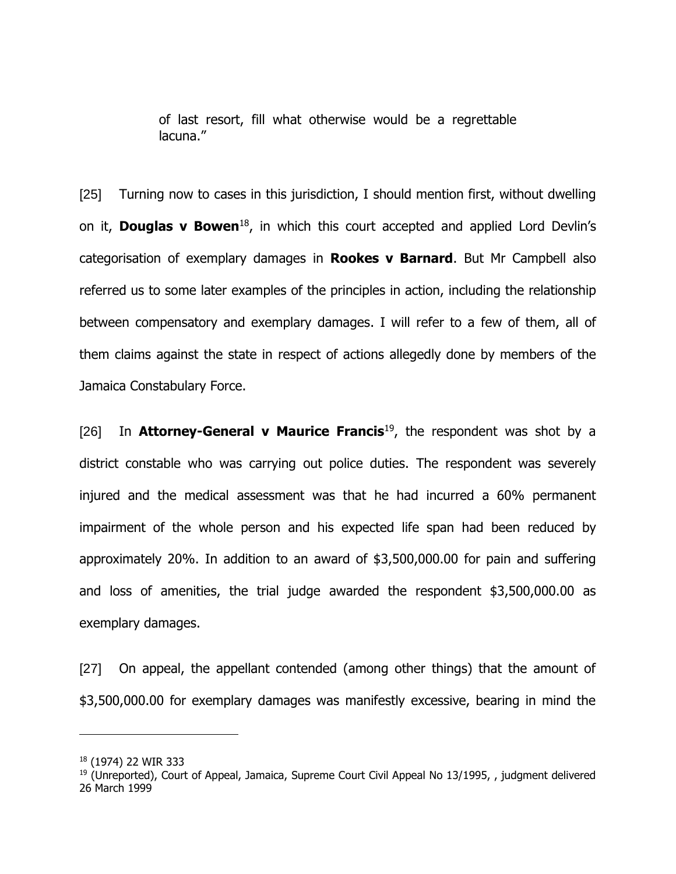of last resort, fill what otherwise would be a regrettable lacuna."

[25] Turning now to cases in this jurisdiction, I should mention first, without dwelling on it, **Douglas v Bowen**<sup>18</sup>, in which this court accepted and applied Lord Devlin's categorisation of exemplary damages in **Rookes v Barnard**. But Mr Campbell also referred us to some later examples of the principles in action, including the relationship between compensatory and exemplary damages. I will refer to a few of them, all of them claims against the state in respect of actions allegedly done by members of the Jamaica Constabulary Force.

[26] In **Attorney-General v Maurice Francis**<sup>19</sup>, the respondent was shot by a district constable who was carrying out police duties. The respondent was severely injured and the medical assessment was that he had incurred a 60% permanent impairment of the whole person and his expected life span had been reduced by approximately 20%. In addition to an award of \$3,500,000.00 for pain and suffering and loss of amenities, the trial judge awarded the respondent \$3,500,000.00 as exemplary damages.

[27] On appeal, the appellant contended (among other things) that the amount of \$3,500,000.00 for exemplary damages was manifestly excessive, bearing in mind the

<sup>18</sup> (1974) 22 WIR 333

 $19$  (Unreported), Court of Appeal, Jamaica, Supreme Court Civil Appeal No 13/1995, , judgment delivered 26 March 1999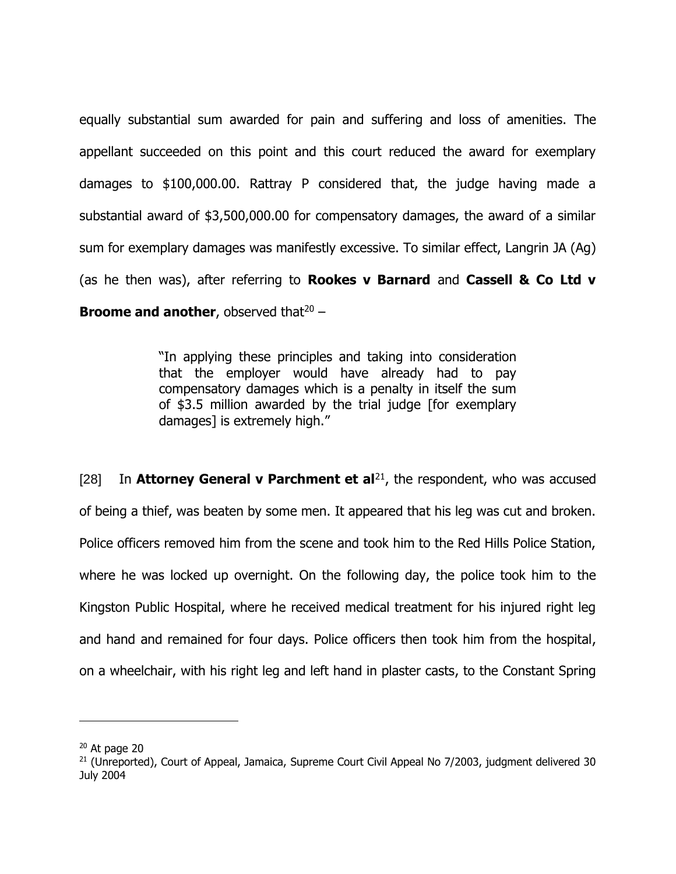equally substantial sum awarded for pain and suffering and loss of amenities. The appellant succeeded on this point and this court reduced the award for exemplary damages to \$100,000.00. Rattray P considered that, the judge having made a substantial award of \$3,500,000.00 for compensatory damages, the award of a similar sum for exemplary damages was manifestly excessive. To similar effect, Langrin JA (Ag) (as he then was), after referring to **Rookes v Barnard** and **Cassell & Co Ltd v Broome and another**, observed that<sup>20</sup> -

> "In applying these principles and taking into consideration that the employer would have already had to pay compensatory damages which is a penalty in itself the sum of \$3.5 million awarded by the trial judge [for exemplary damages] is extremely high."

[28] In **Attorney General v Parchment et al**<sup>21</sup>, the respondent, who was accused of being a thief, was beaten by some men. It appeared that his leg was cut and broken. Police officers removed him from the scene and took him to the Red Hills Police Station, where he was locked up overnight. On the following day, the police took him to the Kingston Public Hospital, where he received medical treatment for his injured right leg and hand and remained for four days. Police officers then took him from the hospital, on a wheelchair, with his right leg and left hand in plaster casts, to the Constant Spring

 $20$  At page 20

<sup>&</sup>lt;sup>21</sup> (Unreported), Court of Appeal, Jamaica, Supreme Court Civil Appeal No 7/2003, judgment delivered 30 July 2004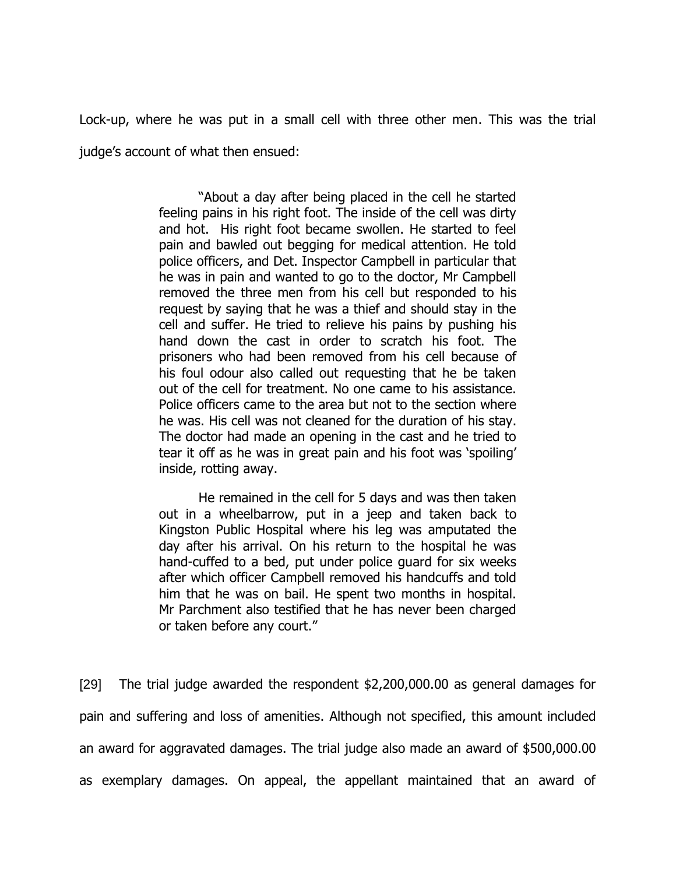Lock-up, where he was put in a small cell with three other men. This was the trial judge's account of what then ensued:

> "About a day after being placed in the cell he started feeling pains in his right foot. The inside of the cell was dirty and hot. His right foot became swollen. He started to feel pain and bawled out begging for medical attention. He told police officers, and Det. Inspector Campbell in particular that he was in pain and wanted to go to the doctor, Mr Campbell removed the three men from his cell but responded to his request by saying that he was a thief and should stay in the cell and suffer. He tried to relieve his pains by pushing his hand down the cast in order to scratch his foot. The prisoners who had been removed from his cell because of his foul odour also called out requesting that he be taken out of the cell for treatment. No one came to his assistance. Police officers came to the area but not to the section where he was. His cell was not cleaned for the duration of his stay. The doctor had made an opening in the cast and he tried to tear it off as he was in great pain and his foot was 'spoiling' inside, rotting away.

> He remained in the cell for 5 days and was then taken out in a wheelbarrow, put in a jeep and taken back to Kingston Public Hospital where his leg was amputated the day after his arrival. On his return to the hospital he was hand-cuffed to a bed, put under police guard for six weeks after which officer Campbell removed his handcuffs and told him that he was on bail. He spent two months in hospital. Mr Parchment also testified that he has never been charged or taken before any court."

[29] The trial judge awarded the respondent \$2,200,000.00 as general damages for pain and suffering and loss of amenities. Although not specified, this amount included an award for aggravated damages. The trial judge also made an award of \$500,000.00 as exemplary damages. On appeal, the appellant maintained that an award of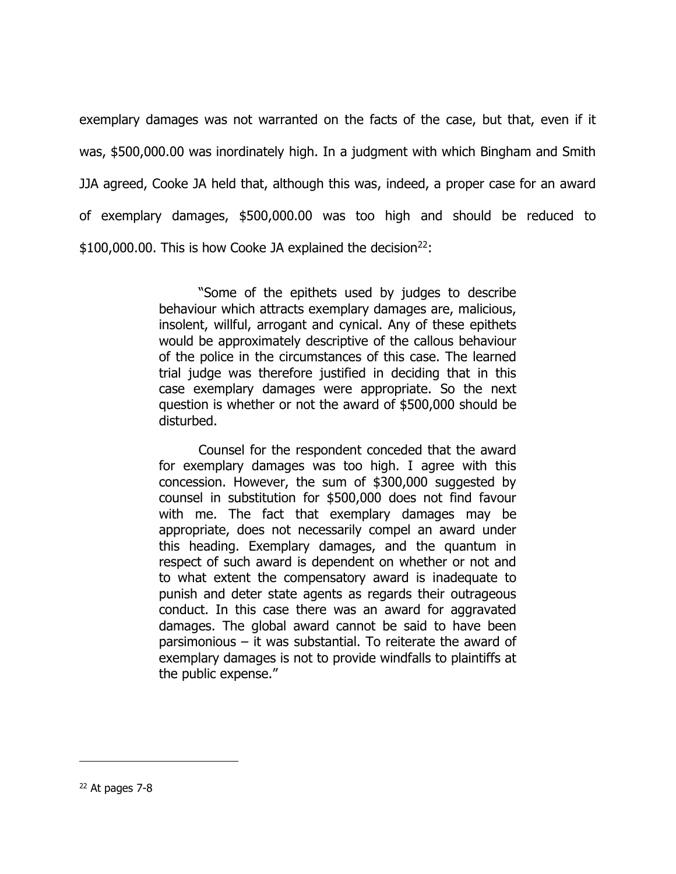exemplary damages was not warranted on the facts of the case, but that, even if it was, \$500,000.00 was inordinately high. In a judgment with which Bingham and Smith JJA agreed, Cooke JA held that, although this was, indeed, a proper case for an award of exemplary damages, \$500,000.00 was too high and should be reduced to  $$100,000.00$ . This is how Cooke JA explained the decision<sup>22</sup>:

> "Some of the epithets used by judges to describe behaviour which attracts exemplary damages are, malicious, insolent, willful, arrogant and cynical. Any of these epithets would be approximately descriptive of the callous behaviour of the police in the circumstances of this case. The learned trial judge was therefore justified in deciding that in this case exemplary damages were appropriate. So the next question is whether or not the award of \$500,000 should be disturbed.

> Counsel for the respondent conceded that the award for exemplary damages was too high. I agree with this concession. However, the sum of \$300,000 suggested by counsel in substitution for \$500,000 does not find favour with me. The fact that exemplary damages may be appropriate, does not necessarily compel an award under this heading. Exemplary damages, and the quantum in respect of such award is dependent on whether or not and to what extent the compensatory award is inadequate to punish and deter state agents as regards their outrageous conduct. In this case there was an award for aggravated damages. The global award cannot be said to have been parsimonious – it was substantial. To reiterate the award of exemplary damages is not to provide windfalls to plaintiffs at the public expense."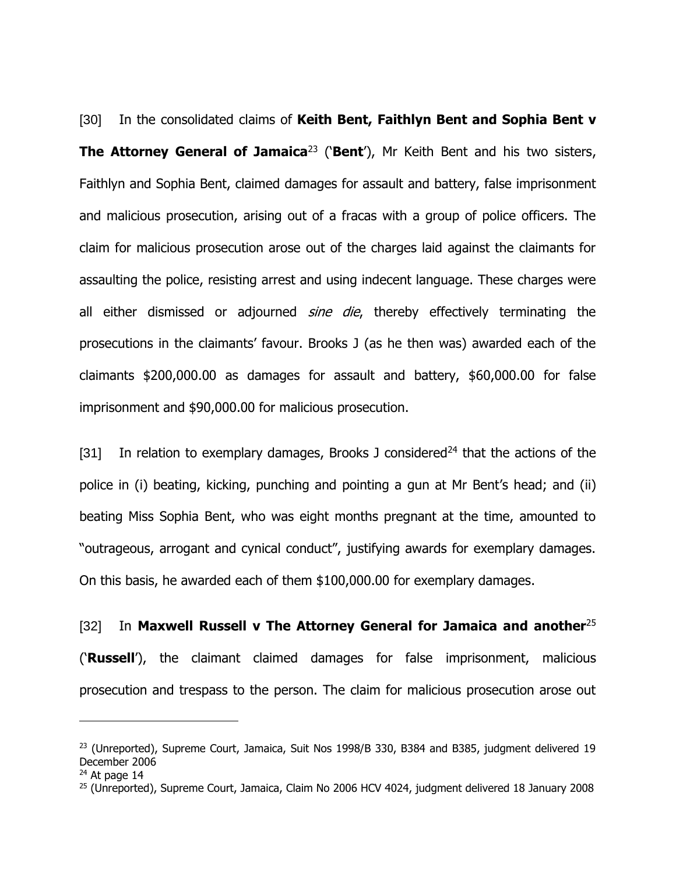[30] In the consolidated claims of **Keith Bent, Faithlyn Bent and Sophia Bent v The Attorney General of Jamaica**<sup>23</sup> ('**Bent**'), Mr Keith Bent and his two sisters, Faithlyn and Sophia Bent, claimed damages for assault and battery, false imprisonment and malicious prosecution, arising out of a fracas with a group of police officers. The claim for malicious prosecution arose out of the charges laid against the claimants for assaulting the police, resisting arrest and using indecent language. These charges were all either dismissed or adjourned *sine die*, thereby effectively terminating the prosecutions in the claimants' favour. Brooks J (as he then was) awarded each of the claimants \$200,000.00 as damages for assault and battery, \$60,000.00 for false imprisonment and \$90,000.00 for malicious prosecution.

[31] In relation to exemplary damages, Brooks J considered<sup>24</sup> that the actions of the police in (i) beating, kicking, punching and pointing a gun at Mr Bent's head; and (ii) beating Miss Sophia Bent, who was eight months pregnant at the time, amounted to "outrageous, arrogant and cynical conduct", justifying awards for exemplary damages. On this basis, he awarded each of them \$100,000.00 for exemplary damages.

[32] In **Maxwell Russell v The Attorney General for Jamaica and another**<sup>25</sup> ('**Russell**'), the claimant claimed damages for false imprisonment, malicious prosecution and trespass to the person. The claim for malicious prosecution arose out

<sup>&</sup>lt;sup>23</sup> (Unreported), Supreme Court, Jamaica, Suit Nos 1998/B 330, B384 and B385, judgment delivered 19 December 2006

 $24$  At page 14

<sup>&</sup>lt;sup>25</sup> (Unreported), Supreme Court, Jamaica, Claim No 2006 HCV 4024, judgment delivered 18 January 2008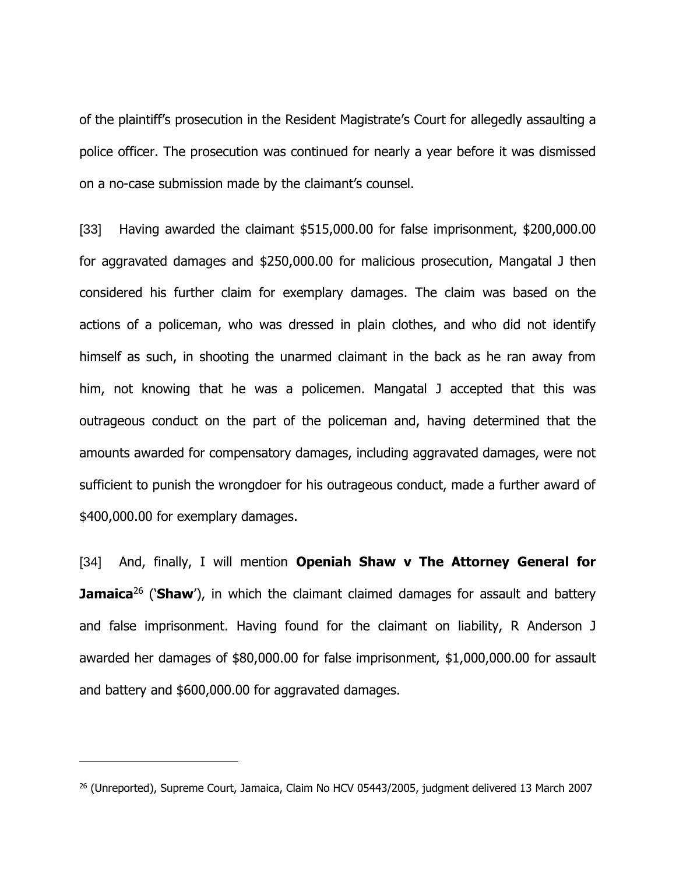of the plaintiff's prosecution in the Resident Magistrate's Court for allegedly assaulting a police officer. The prosecution was continued for nearly a year before it was dismissed on a no-case submission made by the claimant's counsel.

[33] Having awarded the claimant \$515,000.00 for false imprisonment, \$200,000.00 for aggravated damages and \$250,000.00 for malicious prosecution, Mangatal J then considered his further claim for exemplary damages. The claim was based on the actions of a policeman, who was dressed in plain clothes, and who did not identify himself as such, in shooting the unarmed claimant in the back as he ran away from him, not knowing that he was a policemen. Mangatal J accepted that this was outrageous conduct on the part of the policeman and, having determined that the amounts awarded for compensatory damages, including aggravated damages, were not sufficient to punish the wrongdoer for his outrageous conduct, made a further award of \$400,000.00 for exemplary damages.

[34] And, finally, I will mention **Openiah Shaw v The Attorney General for Jamaica**<sup>26</sup> ('**Shaw**'), in which the claimant claimed damages for assault and battery and false imprisonment. Having found for the claimant on liability, R Anderson J awarded her damages of \$80,000.00 for false imprisonment, \$1,000,000.00 for assault and battery and \$600,000.00 for aggravated damages.

<sup>&</sup>lt;sup>26</sup> (Unreported), Supreme Court, Jamaica, Claim No HCV 05443/2005, judgment delivered 13 March 2007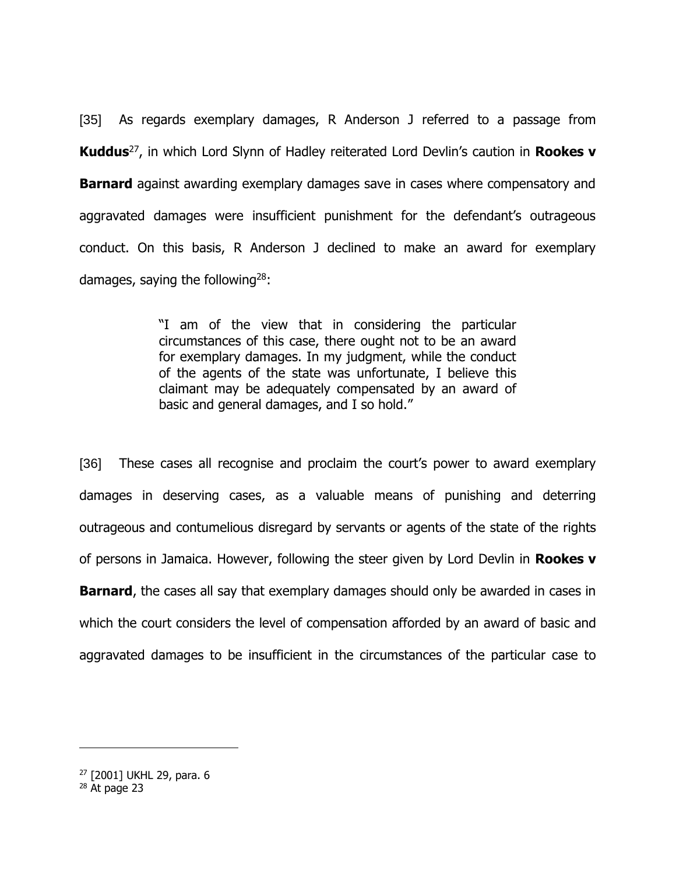[35] As regards exemplary damages, R Anderson J referred to a passage from **Kuddus**<sup>27</sup>, in which Lord Slynn of Hadley reiterated Lord Devlin's caution in **Rookes v Barnard** against awarding exemplary damages save in cases where compensatory and aggravated damages were insufficient punishment for the defendant's outrageous conduct. On this basis, R Anderson J declined to make an award for exemplary damages, saying the following<sup>28</sup>:

> "I am of the view that in considering the particular circumstances of this case, there ought not to be an award for exemplary damages. In my judgment, while the conduct of the agents of the state was unfortunate, I believe this claimant may be adequately compensated by an award of basic and general damages, and I so hold."

[36] These cases all recognise and proclaim the court's power to award exemplary damages in deserving cases, as a valuable means of punishing and deterring outrageous and contumelious disregard by servants or agents of the state of the rights of persons in Jamaica. However, following the steer given by Lord Devlin in **Rookes v Barnard**, the cases all say that exemplary damages should only be awarded in cases in which the court considers the level of compensation afforded by an award of basic and aggravated damages to be insufficient in the circumstances of the particular case to

<sup>27</sup> [2001] UKHL 29, para. 6

 $28$  At page 23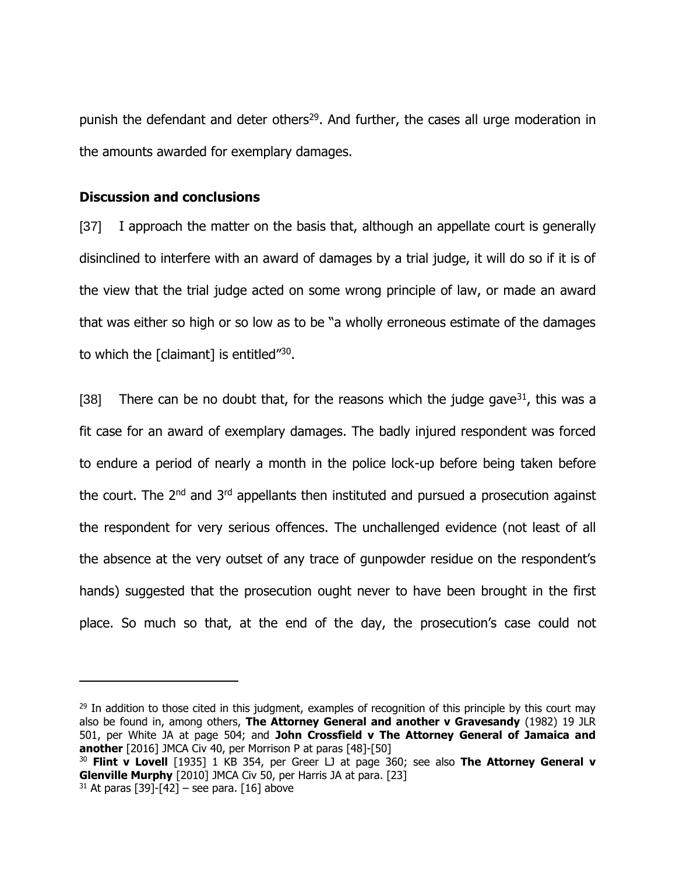punish the defendant and deter others<sup>29</sup>. And further, the cases all urge moderation in the amounts awarded for exemplary damages.

### **Discussion and conclusions**

[37] I approach the matter on the basis that, although an appellate court is generally disinclined to interfere with an award of damages by a trial judge, it will do so if it is of the view that the trial judge acted on some wrong principle of law, or made an award that was either so high or so low as to be "a wholly erroneous estimate of the damages to which the [claimant] is entitled"<sup>30</sup>.

[38] There can be no doubt that, for the reasons which the judge gave<sup>31</sup>, this was a fit case for an award of exemplary damages. The badly injured respondent was forced to endure a period of nearly a month in the police lock-up before being taken before the court. The  $2^{nd}$  and  $3^{rd}$  appellants then instituted and pursued a prosecution against the respondent for very serious offences. The unchallenged evidence (not least of all the absence at the very outset of any trace of gunpowder residue on the respondent's hands) suggested that the prosecution ought never to have been brought in the first place. So much so that, at the end of the day, the prosecution's case could not

 $29$  In addition to those cited in this judgment, examples of recognition of this principle by this court may also be found in, among others, **The Attorney General and another v Gravesandy** (1982) 19 JLR 501, per White JA at page 504; and **John Crossfield v The Attorney General of Jamaica and another** [2016] JMCA Civ 40, per Morrison P at paras [48]-[50]

<sup>30</sup> **Flint v Lovell** [1935] 1 KB 354, per Greer LJ at page 360; see also **The Attorney General v Glenville Murphy** [2010] JMCA Civ 50, per Harris JA at para. [23]

 $31$  At paras [39]-[42] – see para. [16] above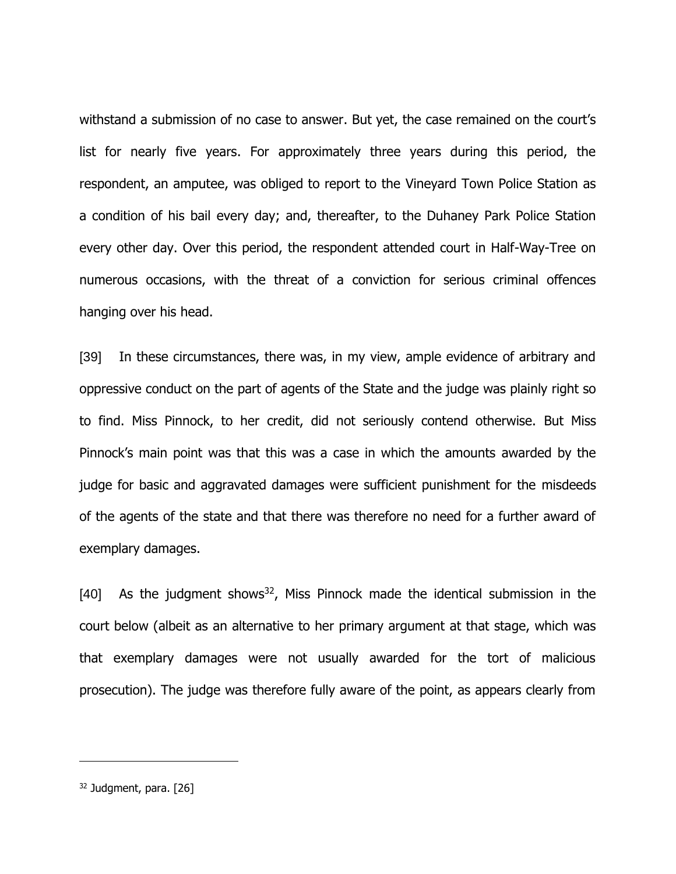withstand a submission of no case to answer. But yet, the case remained on the court's list for nearly five years. For approximately three years during this period, the respondent, an amputee, was obliged to report to the Vineyard Town Police Station as a condition of his bail every day; and, thereafter, to the Duhaney Park Police Station every other day. Over this period, the respondent attended court in Half-Way-Tree on numerous occasions, with the threat of a conviction for serious criminal offences hanging over his head.

[39] In these circumstances, there was, in my view, ample evidence of arbitrary and oppressive conduct on the part of agents of the State and the judge was plainly right so to find. Miss Pinnock, to her credit, did not seriously contend otherwise. But Miss Pinnock's main point was that this was a case in which the amounts awarded by the judge for basic and aggravated damages were sufficient punishment for the misdeeds of the agents of the state and that there was therefore no need for a further award of exemplary damages.

[40] As the judgment shows<sup>32</sup>, Miss Pinnock made the identical submission in the court below (albeit as an alternative to her primary argument at that stage, which was that exemplary damages were not usually awarded for the tort of malicious prosecution). The judge was therefore fully aware of the point, as appears clearly from

<sup>&</sup>lt;sup>32</sup> Judgment, para. [26]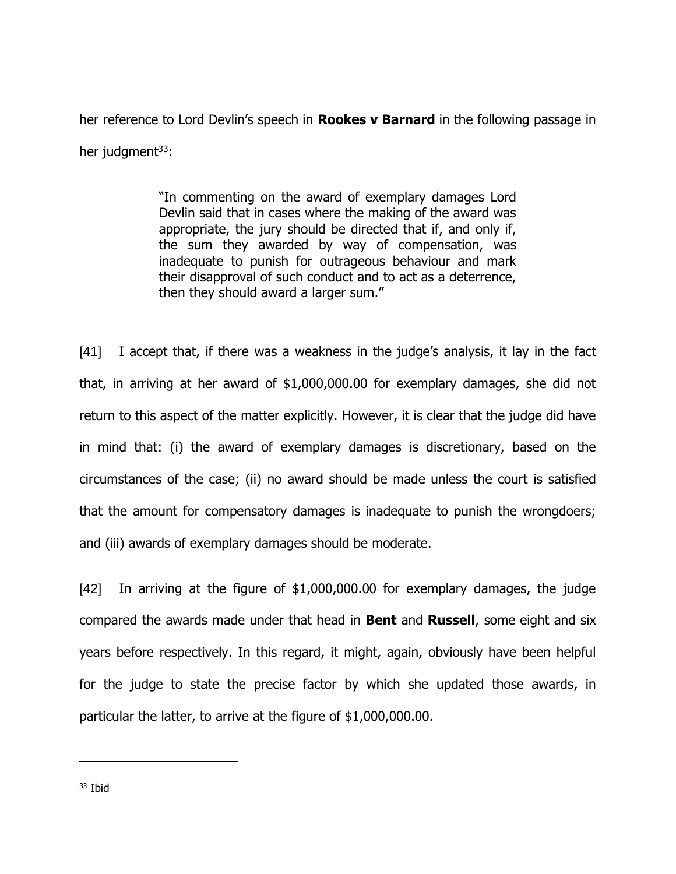her reference to Lord Devlin's speech in **Rookes v Barnard** in the following passage in her judgment $33$ :

> "In commenting on the award of exemplary damages Lord Devlin said that in cases where the making of the award was appropriate, the jury should be directed that if, and only if, the sum they awarded by way of compensation, was inadequate to punish for outrageous behaviour and mark their disapproval of such conduct and to act as a deterrence, then they should award a larger sum."

[41] I accept that, if there was a weakness in the judge's analysis, it lay in the fact that, in arriving at her award of \$1,000,000.00 for exemplary damages, she did not return to this aspect of the matter explicitly. However, it is clear that the judge did have in mind that: (i) the award of exemplary damages is discretionary, based on the circumstances of the case; (ii) no award should be made unless the court is satisfied that the amount for compensatory damages is inadequate to punish the wrongdoers; and (iii) awards of exemplary damages should be moderate.

[42] In arriving at the figure of \$1,000,000.00 for exemplary damages, the judge compared the awards made under that head in **Bent** and **Russell**, some eight and six years before respectively. In this regard, it might, again, obviously have been helpful for the judge to state the precise factor by which she updated those awards, in particular the latter, to arrive at the figure of \$1,000,000.00.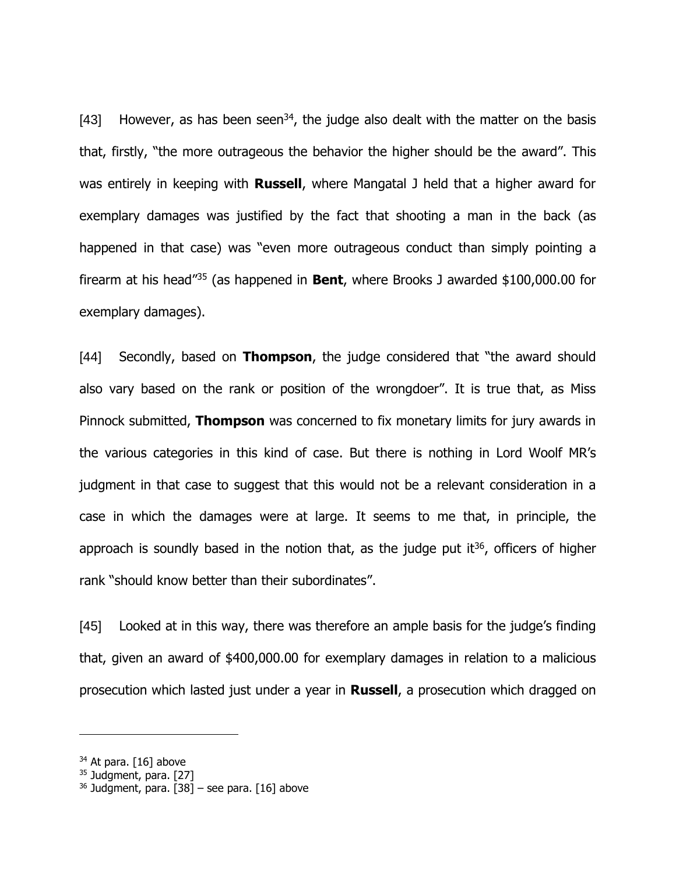[43] However, as has been seen<sup>34</sup>, the judge also dealt with the matter on the basis that, firstly, "the more outrageous the behavior the higher should be the award". This was entirely in keeping with **Russell**, where Mangatal J held that a higher award for exemplary damages was justified by the fact that shooting a man in the back (as happened in that case) was "even more outrageous conduct than simply pointing a firearm at his head"<sup>35</sup> (as happened in **Bent**, where Brooks J awarded \$100,000.00 for exemplary damages).

[44] Secondly, based on **Thompson**, the judge considered that "the award should also vary based on the rank or position of the wrongdoer". It is true that, as Miss Pinnock submitted, **Thompson** was concerned to fix monetary limits for jury awards in the various categories in this kind of case. But there is nothing in Lord Woolf MR's judgment in that case to suggest that this would not be a relevant consideration in a case in which the damages were at large. It seems to me that, in principle, the approach is soundly based in the notion that, as the judge put it $36$ , officers of higher rank "should know better than their subordinates".

[45] Looked at in this way, there was therefore an ample basis for the judge's finding that, given an award of \$400,000.00 for exemplary damages in relation to a malicious prosecution which lasted just under a year in **Russell**, a prosecution which dragged on

<sup>&</sup>lt;sup>34</sup> At para. [16] above

<sup>&</sup>lt;sup>35</sup> Judgment, para. [27]

 $36$  Judgment, para. [38] – see para. [16] above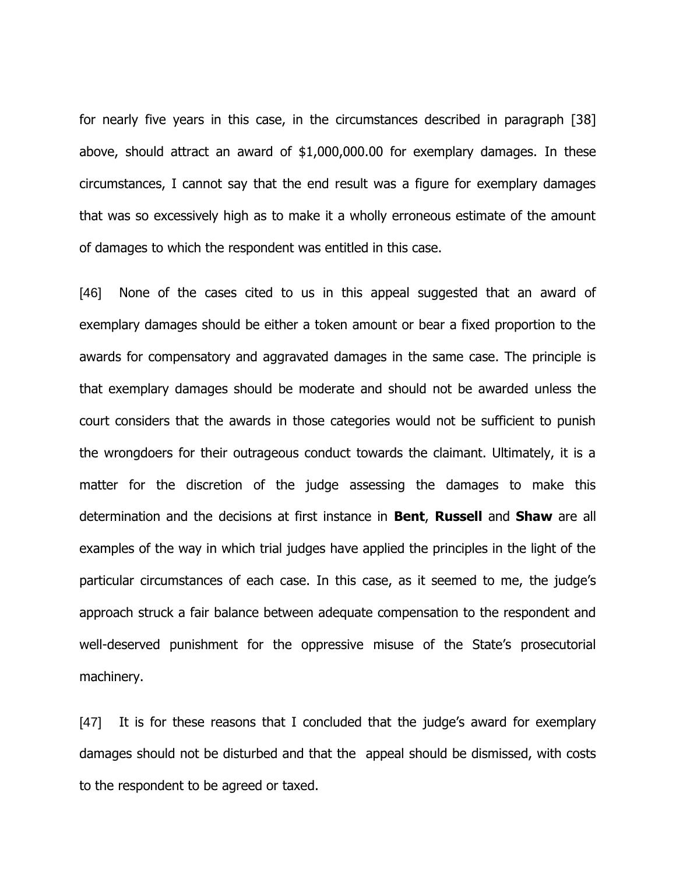for nearly five years in this case, in the circumstances described in paragraph [38] above, should attract an award of \$1,000,000.00 for exemplary damages. In these circumstances, I cannot say that the end result was a figure for exemplary damages that was so excessively high as to make it a wholly erroneous estimate of the amount of damages to which the respondent was entitled in this case.

[46] None of the cases cited to us in this appeal suggested that an award of exemplary damages should be either a token amount or bear a fixed proportion to the awards for compensatory and aggravated damages in the same case. The principle is that exemplary damages should be moderate and should not be awarded unless the court considers that the awards in those categories would not be sufficient to punish the wrongdoers for their outrageous conduct towards the claimant. Ultimately, it is a matter for the discretion of the judge assessing the damages to make this determination and the decisions at first instance in **Bent**, **Russell** and **Shaw** are all examples of the way in which trial judges have applied the principles in the light of the particular circumstances of each case. In this case, as it seemed to me, the judge's approach struck a fair balance between adequate compensation to the respondent and well-deserved punishment for the oppressive misuse of the State's prosecutorial machinery.

[47] It is for these reasons that I concluded that the judge's award for exemplary damages should not be disturbed and that the appeal should be dismissed, with costs to the respondent to be agreed or taxed.